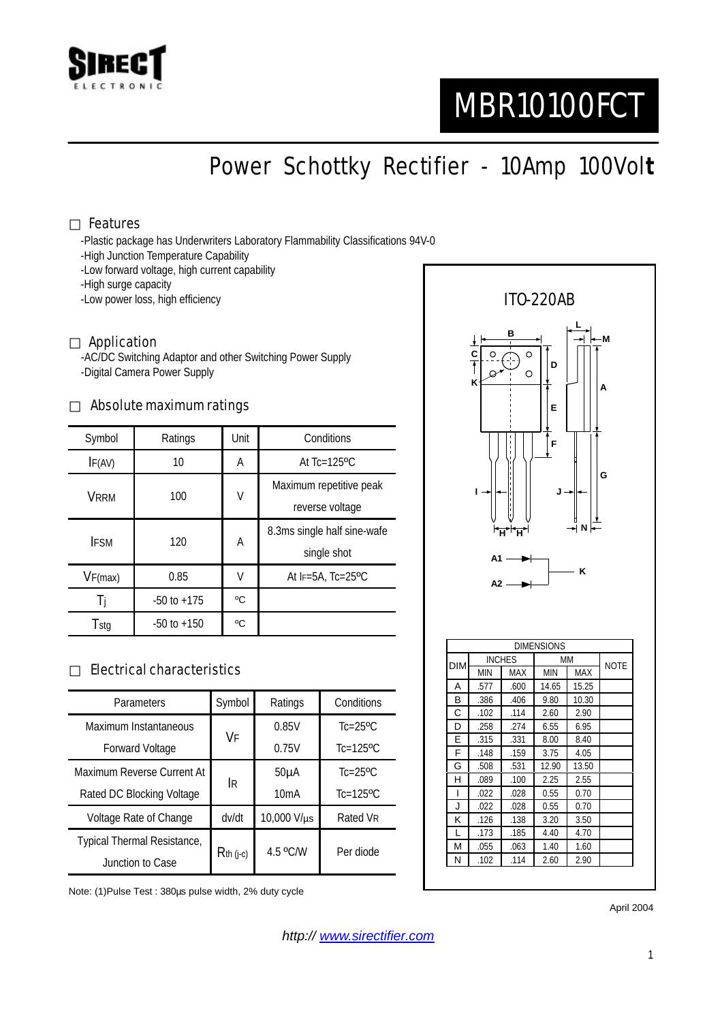

# MBR10100FCT

Power Schottky Rectifier - 10Amp 100Vol**t**

#### Features

-Plastic package has Underwriters Laboratory Flammability Classifications 94V-0

- -High Junction Temperature Capability
- -Low forward voltage, high current capability
- -High surge capacity
- -Low power loss, high efficiency

#### Application

-AC/DC Switching Adaptor and other Switching Power Supply -Digital Camera Power Supply

#### Absolute maximum ratings

| Symbol      | Ratings         | Unit | Conditions                                 |  |
|-------------|-----------------|------|--------------------------------------------|--|
| IF(AV)      | 10              | А    | At $Tc=125$ <sup>o</sup> $C$               |  |
| VRRM        | 100             | V    | Maximum repetitive peak<br>reverse voltage |  |
| <b>IFSM</b> | 120             | А    | 8.3ms single half sine-wafe<br>single shot |  |
| VF(max)     | 0.85            | V    | At $F=5A$ , Tc=25°C                        |  |
| -l i        | $-50$ to $+175$ | °C   |                                            |  |
| Tstg        | $-50$ to $+150$ | °C   |                                            |  |

### Electrical characteristics

| Parameters                  | Symbol      | Ratings           | Conditions                |
|-----------------------------|-------------|-------------------|---------------------------|
| Maximum Instantaneous       | VF          | 0.85V             | $Tc=25$ <sup>o</sup> $C$  |
| <b>Forward Voltage</b>      |             | 0.75V             | $Tc=125$ <sup>o</sup> $C$ |
| Maximum Reverse Current At  | <b>IR</b>   | 50 <sub>µ</sub> A | $Tc=25$ <sup>o</sup> $C$  |
| Rated DC Blocking Voltage   |             | 10mA              | $Tc=125$ <sup>o</sup> $C$ |
| Voltage Rate of Change      | dv/dt       | 10,000 V/µs       | Rated VR                  |
| Typical Thermal Resistance, | $Rth$ (j-c) | 4.5 °C/W          | Per diode                 |
| Junction to Case            |             |                   |                           |

Note: (1)Pulse Test : 380µs pulse width, 2% duty cycle



April 2004